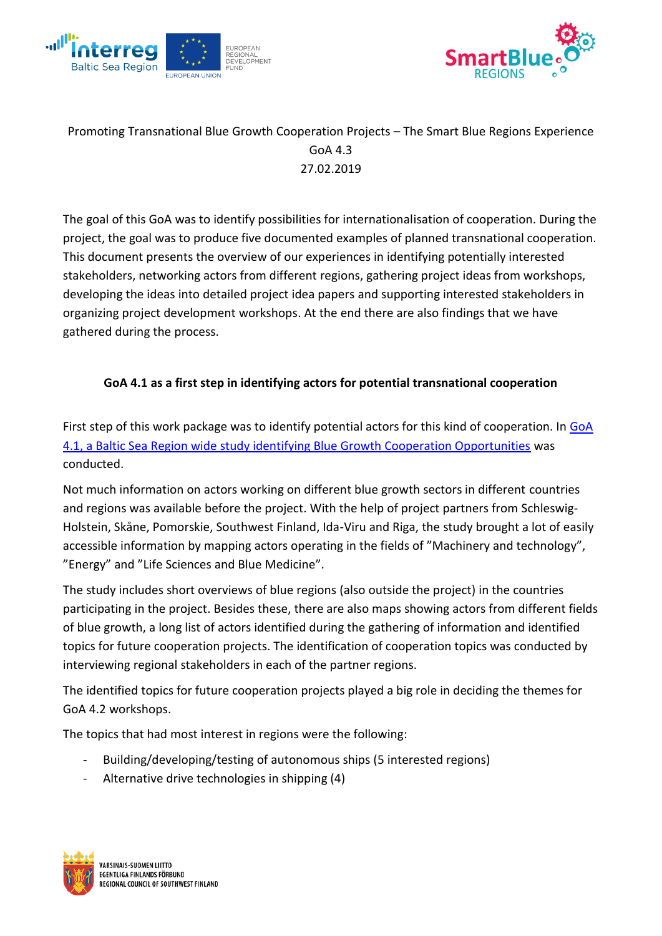



# Promoting Transnational Blue Growth Cooperation Projects – The Smart Blue Regions Experience GoA 4.3 27.02.2019

The goal of this GoA was to identify possibilities for internationalisation of cooperation. During the project, the goal was to produce five documented examples of planned transnational cooperation. This document presents the overview of our experiences in identifying potentially interested stakeholders, networking actors from different regions, gathering project ideas from workshops, developing the ideas into detailed project idea papers and supporting interested stakeholders in organizing project development workshops. At the end there are also findings that we have gathered during the process.

# **GoA 4.1 as a first step in identifying actors for potential transnational cooperation**

First step of this work package was to identify potential actors for this kind of cooperation. In [GoA](https://www.submariner-network.eu/files/sbr-main_output-4.1-WEB-180917.FINAL.pdf)  [4.1, a Baltic Sea Region wide study identifying Blue Growth Cooperation Opportunities](https://www.submariner-network.eu/files/sbr-main_output-4.1-WEB-180917.FINAL.pdf) was conducted.

Not much information on actors working on different blue growth sectors in different countries and regions was available before the project. With the help of project partners from Schleswig-Holstein, Skåne, Pomorskie, Southwest Finland, Ida-Viru and Riga, the study brought a lot of easily accessible information by mapping actors operating in the fields of "Machinery and technology", "Energy" and "Life Sciences and Blue Medicine".

The study includes short overviews of blue regions (also outside the project) in the countries participating in the project. Besides these, there are also maps showing actors from different fields of blue growth, a long list of actors identified during the gathering of information and identified topics for future cooperation projects. The identification of cooperation topics was conducted by interviewing regional stakeholders in each of the partner regions.

The identified topics for future cooperation projects played a big role in deciding the themes for GoA 4.2 workshops.

The topics that had most interest in regions were the following:

- Building/developing/testing of autonomous ships (5 interested regions)
- Alternative drive technologies in shipping (4)

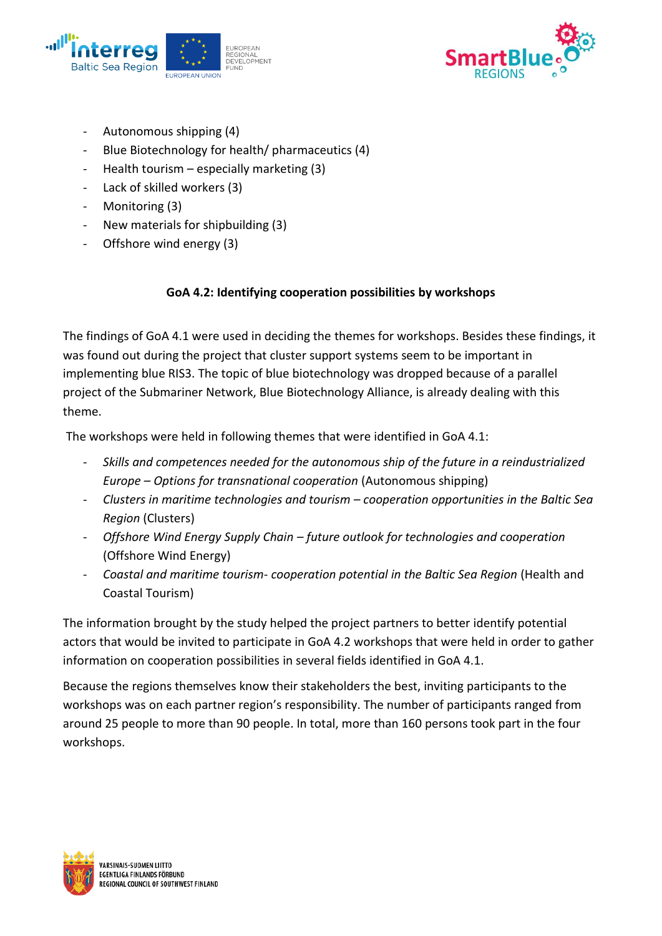



- Autonomous shipping (4)
- Blue Biotechnology for health/ pharmaceutics (4)
- Health tourism especially marketing (3)
- Lack of skilled workers (3)
- Monitoring (3)
- New materials for shipbuilding (3)
- Offshore wind energy (3)

# **GoA 4.2: Identifying cooperation possibilities by workshops**

The findings of GoA 4.1 were used in deciding the themes for workshops. Besides these findings, it was found out during the project that cluster support systems seem to be important in implementing blue RIS3. The topic of blue biotechnology was dropped because of a parallel project of the Submariner Network, Blue Biotechnology Alliance, is already dealing with this theme.

The workshops were held in following themes that were identified in GoA 4.1:

- *Skills and competences needed for the autonomous ship of the future in a reindustrialized Europe – Options for transnational cooperation* (Autonomous shipping)
- *Clusters in maritime technologies and tourism – cooperation opportunities in the Baltic Sea Region* (Clusters)
- *Offshore Wind Energy Supply Chain – future outlook for technologies and cooperation* (Offshore Wind Energy)
- *Coastal and maritime tourism- cooperation potential in the Baltic Sea Region* (Health and Coastal Tourism)

The information brought by the study helped the project partners to better identify potential actors that would be invited to participate in GoA 4.2 workshops that were held in order to gather information on cooperation possibilities in several fields identified in GoA 4.1.

Because the regions themselves know their stakeholders the best, inviting participants to the workshops was on each partner region's responsibility. The number of participants ranged from around 25 people to more than 90 people. In total, more than 160 persons took part in the four workshops.

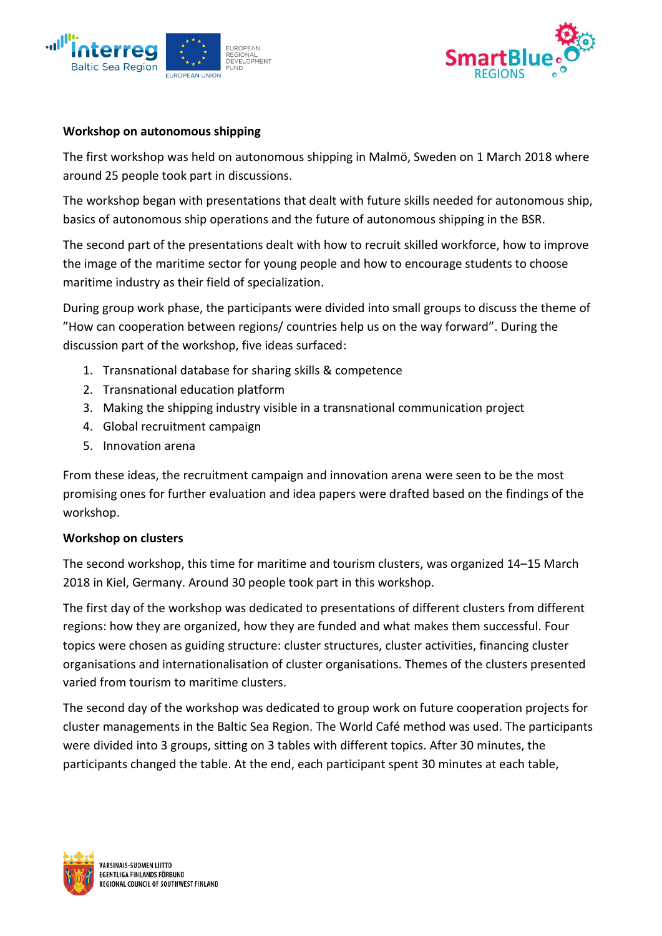



#### **Workshop on autonomous shipping**

The first workshop was held on autonomous shipping in Malmö, Sweden on 1 March 2018 where around 25 people took part in discussions.

The workshop began with presentations that dealt with future skills needed for autonomous ship, basics of autonomous ship operations and the future of autonomous shipping in the BSR.

The second part of the presentations dealt with how to recruit skilled workforce, how to improve the image of the maritime sector for young people and how to encourage students to choose maritime industry as their field of specialization.

During group work phase, the participants were divided into small groups to discuss the theme of "How can cooperation between regions/ countries help us on the way forward". During the discussion part of the workshop, five ideas surfaced:

- 1. Transnational database for sharing skills & competence
- 2. Transnational education platform
- 3. Making the shipping industry visible in a transnational communication project
- 4. Global recruitment campaign
- 5. Innovation arena

From these ideas, the recruitment campaign and innovation arena were seen to be the most promising ones for further evaluation and idea papers were drafted based on the findings of the workshop.

#### **Workshop on clusters**

The second workshop, this time for maritime and tourism clusters, was organized 14–15 March 2018 in Kiel, Germany. Around 30 people took part in this workshop.

The first day of the workshop was dedicated to presentations of different clusters from different regions: how they are organized, how they are funded and what makes them successful. Four topics were chosen as guiding structure: cluster structures, cluster activities, financing cluster organisations and internationalisation of cluster organisations. Themes of the clusters presented varied from tourism to maritime clusters.

The second day of the workshop was dedicated to group work on future cooperation projects for cluster managements in the Baltic Sea Region. The World Café method was used. The participants were divided into 3 groups, sitting on 3 tables with different topics. After 30 minutes, the participants changed the table. At the end, each participant spent 30 minutes at each table,

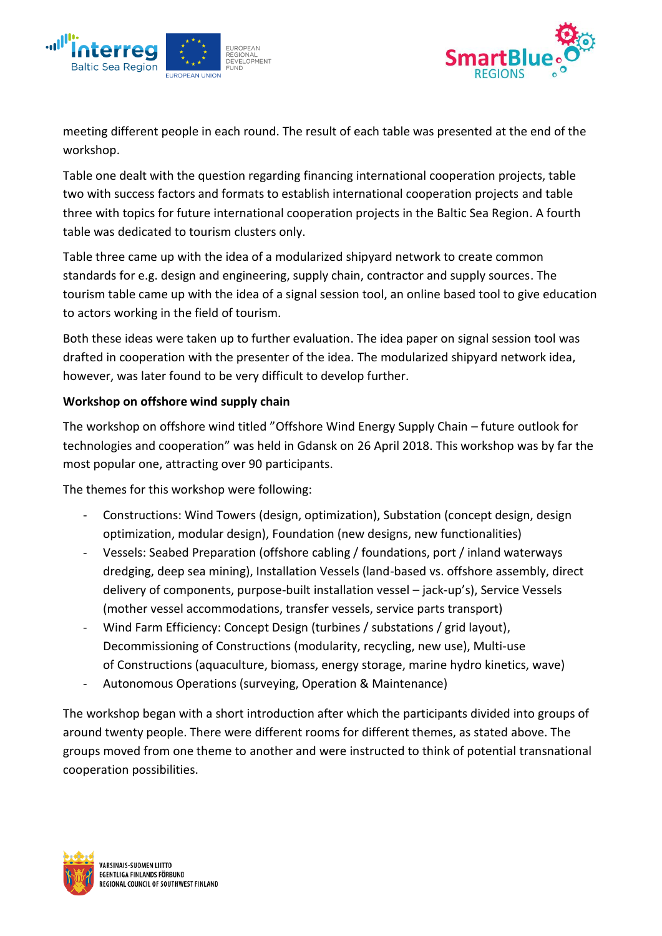



meeting different people in each round. The result of each table was presented at the end of the workshop.

Table one dealt with the question regarding financing international cooperation projects, table two with success factors and formats to establish international cooperation projects and table three with topics for future international cooperation projects in the Baltic Sea Region. A fourth table was dedicated to tourism clusters only.

Table three came up with the idea of a modularized shipyard network to create common standards for e.g. design and engineering, supply chain, contractor and supply sources. The tourism table came up with the idea of a signal session tool, an online based tool to give education to actors working in the field of tourism.

Both these ideas were taken up to further evaluation. The idea paper on signal session tool was drafted in cooperation with the presenter of the idea. The modularized shipyard network idea, however, was later found to be very difficult to develop further.

### **Workshop on offshore wind supply chain**

The workshop on offshore wind titled "Offshore Wind Energy Supply Chain – future outlook for technologies and cooperation" was held in Gdansk on 26 April 2018. This workshop was by far the most popular one, attracting over 90 participants.

The themes for this workshop were following:

- Constructions: Wind Towers (design, optimization), Substation (concept design, design optimization, modular design), Foundation (new designs, new functionalities)
- Vessels: Seabed Preparation (offshore cabling / foundations, port / inland waterways dredging, deep sea mining), Installation Vessels (land-based vs. offshore assembly, direct delivery of components, purpose-built installation vessel – jack-up's), Service Vessels (mother vessel accommodations, transfer vessels, service parts transport)
- Wind Farm Efficiency: Concept Design (turbines / substations / grid layout), Decommissioning of Constructions (modularity, recycling, new use), Multi-use of Constructions (aquaculture, biomass, energy storage, marine hydro kinetics, wave)
- Autonomous Operations (surveying, Operation & Maintenance)

The workshop began with a short introduction after which the participants divided into groups of around twenty people. There were different rooms for different themes, as stated above. The groups moved from one theme to another and were instructed to think of potential transnational cooperation possibilities.

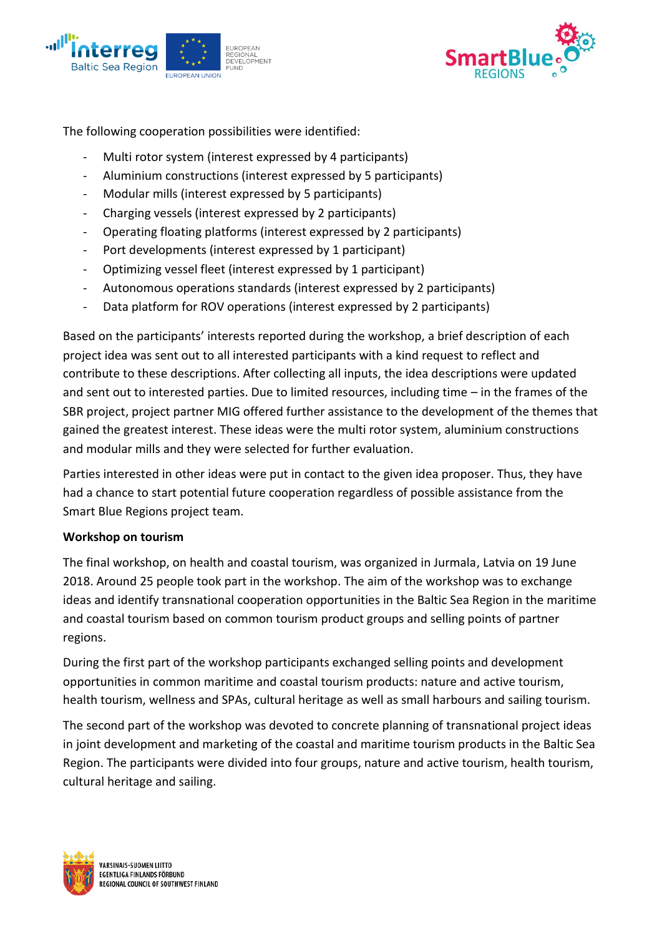



The following cooperation possibilities were identified:

- Multi rotor system (interest expressed by 4 participants)
- Aluminium constructions (interest expressed by 5 participants)
- Modular mills (interest expressed by 5 participants)
- Charging vessels (interest expressed by 2 participants)
- Operating floating platforms (interest expressed by 2 participants)
- Port developments (interest expressed by 1 participant)
- Optimizing vessel fleet (interest expressed by 1 participant)
- Autonomous operations standards (interest expressed by 2 participants)
- Data platform for ROV operations (interest expressed by 2 participants)

Based on the participants' interests reported during the workshop, a brief description of each project idea was sent out to all interested participants with a kind request to reflect and contribute to these descriptions. After collecting all inputs, the idea descriptions were updated and sent out to interested parties. Due to limited resources, including time – in the frames of the SBR project, project partner MIG offered further assistance to the development of the themes that gained the greatest interest. These ideas were the multi rotor system, aluminium constructions and modular mills and they were selected for further evaluation.

Parties interested in other ideas were put in contact to the given idea proposer. Thus, they have had a chance to start potential future cooperation regardless of possible assistance from the Smart Blue Regions project team.

#### **Workshop on tourism**

The final workshop, on health and coastal tourism, was organized in Jurmala, Latvia on 19 June 2018. Around 25 people took part in the workshop. The aim of the workshop was to exchange ideas and identify transnational cooperation opportunities in the Baltic Sea Region in the maritime and coastal tourism based on common tourism product groups and selling points of partner regions.

During the first part of the workshop participants exchanged selling points and development opportunities in common maritime and coastal tourism products: nature and active tourism, health tourism, wellness and SPAs, cultural heritage as well as small harbours and sailing tourism.

The second part of the workshop was devoted to concrete planning of transnational project ideas in joint development and marketing of the coastal and maritime tourism products in the Baltic Sea Region. The participants were divided into four groups, nature and active tourism, health tourism, cultural heritage and sailing.

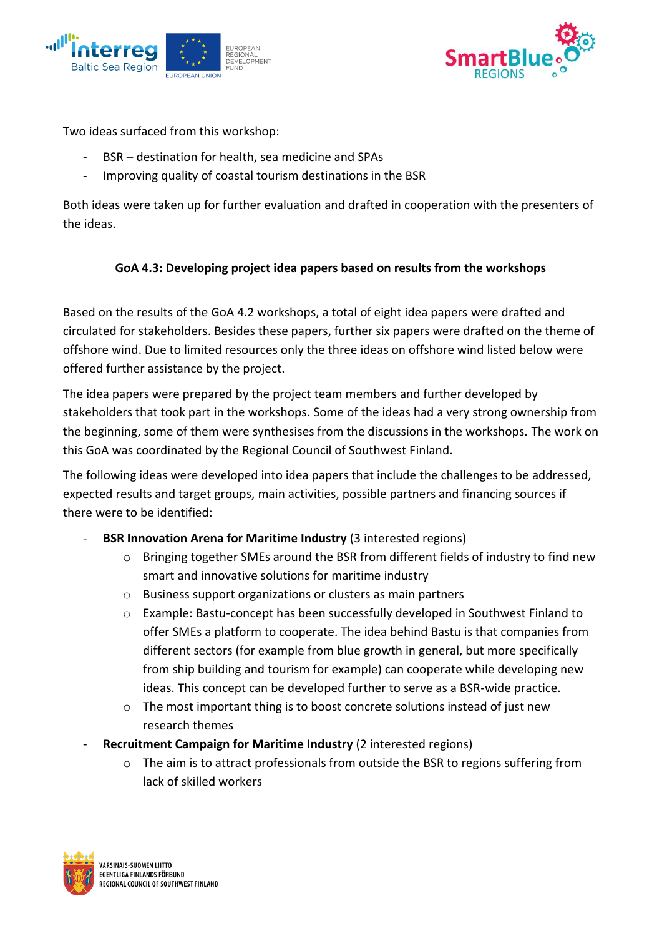



Two ideas surfaced from this workshop:

- BSR destination for health, sea medicine and SPAs
- Improving quality of coastal tourism destinations in the BSR

Both ideas were taken up for further evaluation and drafted in cooperation with the presenters of the ideas.

# **GoA 4.3: Developing project idea papers based on results from the workshops**

Based on the results of the GoA 4.2 workshops, a total of eight idea papers were drafted and circulated for stakeholders. Besides these papers, further six papers were drafted on the theme of offshore wind. Due to limited resources only the three ideas on offshore wind listed below were offered further assistance by the project.

The idea papers were prepared by the project team members and further developed by stakeholders that took part in the workshops. Some of the ideas had a very strong ownership from the beginning, some of them were synthesises from the discussions in the workshops. The work on this GoA was coordinated by the Regional Council of Southwest Finland.

The following ideas were developed into idea papers that include the challenges to be addressed, expected results and target groups, main activities, possible partners and financing sources if there were to be identified:

- **BSR Innovation Arena for Maritime Industry** (3 interested regions)
	- o Bringing together SMEs around the BSR from different fields of industry to find new smart and innovative solutions for maritime industry
	- o Business support organizations or clusters as main partners
	- o Example: Bastu-concept has been successfully developed in Southwest Finland to offer SMEs a platform to cooperate. The idea behind Bastu is that companies from different sectors (for example from blue growth in general, but more specifically from ship building and tourism for example) can cooperate while developing new ideas. This concept can be developed further to serve as a BSR-wide practice.
	- o The most important thing is to boost concrete solutions instead of just new research themes
- **Recruitment Campaign for Maritime Industry** (2 interested regions)
	- $\circ$  The aim is to attract professionals from outside the BSR to regions suffering from lack of skilled workers

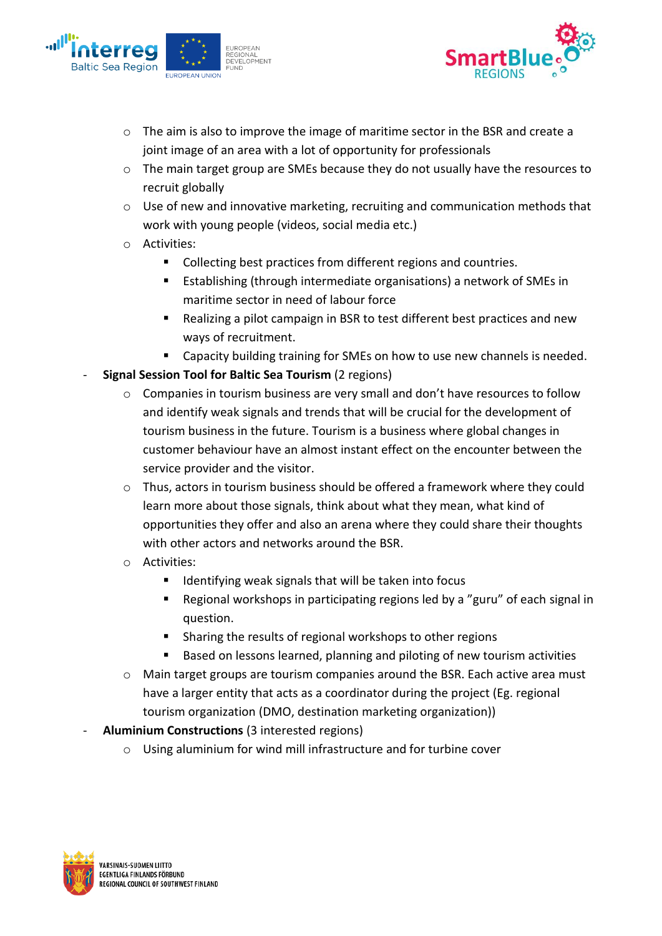



- $\circ$  The aim is also to improve the image of maritime sector in the BSR and create a joint image of an area with a lot of opportunity for professionals
- o The main target group are SMEs because they do not usually have the resources to recruit globally
- o Use of new and innovative marketing, recruiting and communication methods that work with young people (videos, social media etc.)
- o Activities:
	- Collecting best practices from different regions and countries.
	- Establishing (through intermediate organisations) a network of SMEs in maritime sector in need of labour force
	- Realizing a pilot campaign in BSR to test different best practices and new ways of recruitment.
	- Capacity building training for SMEs on how to use new channels is needed.
- **Signal Session Tool for Baltic Sea Tourism (2 regions)** 
	- $\circ$  Companies in tourism business are very small and don't have resources to follow and identify weak signals and trends that will be crucial for the development of tourism business in the future. Tourism is a business where global changes in customer behaviour have an almost instant effect on the encounter between the service provider and the visitor.
	- o Thus, actors in tourism business should be offered a framework where they could learn more about those signals, think about what they mean, what kind of opportunities they offer and also an arena where they could share their thoughts with other actors and networks around the BSR.
	- o Activities:
		- Identifying weak signals that will be taken into focus
		- Regional workshops in participating regions led by a "guru" of each signal in question.
		- Sharing the results of regional workshops to other regions
		- Based on lessons learned, planning and piloting of new tourism activities
	- o Main target groups are tourism companies around the BSR. Each active area must have a larger entity that acts as a coordinator during the project (Eg. regional tourism organization (DMO, destination marketing organization))
- Aluminium Constructions (3 interested regions)
	- o Using aluminium for wind mill infrastructure and for turbine cover

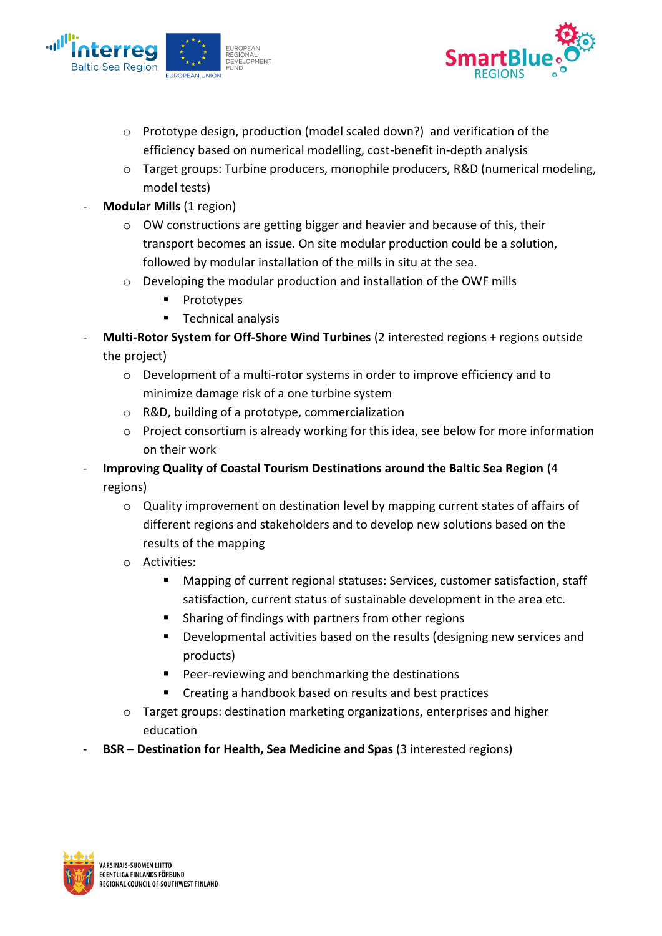



- o Prototype design, production (model scaled down?) and verification of the efficiency based on numerical modelling, cost-benefit in-depth analysis
- o Target groups: Turbine producers, monophile producers, R&D (numerical modeling, model tests)
- **Modular Mills** (1 region)
	- o OW constructions are getting bigger and heavier and because of this, their transport becomes an issue. On site modular production could be a solution, followed by modular installation of the mills in situ at the sea.
	- o Developing the modular production and installation of the OWF mills
		- **Prototypes**
		- Technical analysis
- **Multi-Rotor System for Off-Shore Wind Turbines** (2 interested regions + regions outside the project)
	- $\circ$  Development of a multi-rotor systems in order to improve efficiency and to minimize damage risk of a one turbine system
	- o R&D, building of a prototype, commercialization
	- o Project consortium is already working for this idea, see below for more information on their work
- **Improving Quality of Coastal Tourism Destinations around the Baltic Sea Region** (4 regions)
	- $\circ$  Quality improvement on destination level by mapping current states of affairs of different regions and stakeholders and to develop new solutions based on the results of the mapping
	- o Activities:
		- Mapping of current regional statuses: Services, customer satisfaction, staff satisfaction, current status of sustainable development in the area etc.
		- Sharing of findings with partners from other regions
		- **•** Developmental activities based on the results (designing new services and products)
		- Peer-reviewing and benchmarking the destinations
		- Creating a handbook based on results and best practices
	- $\circ$  Target groups: destination marketing organizations, enterprises and higher education
- **BSR – Destination for Health, Sea Medicine and Spas** (3 interested regions)

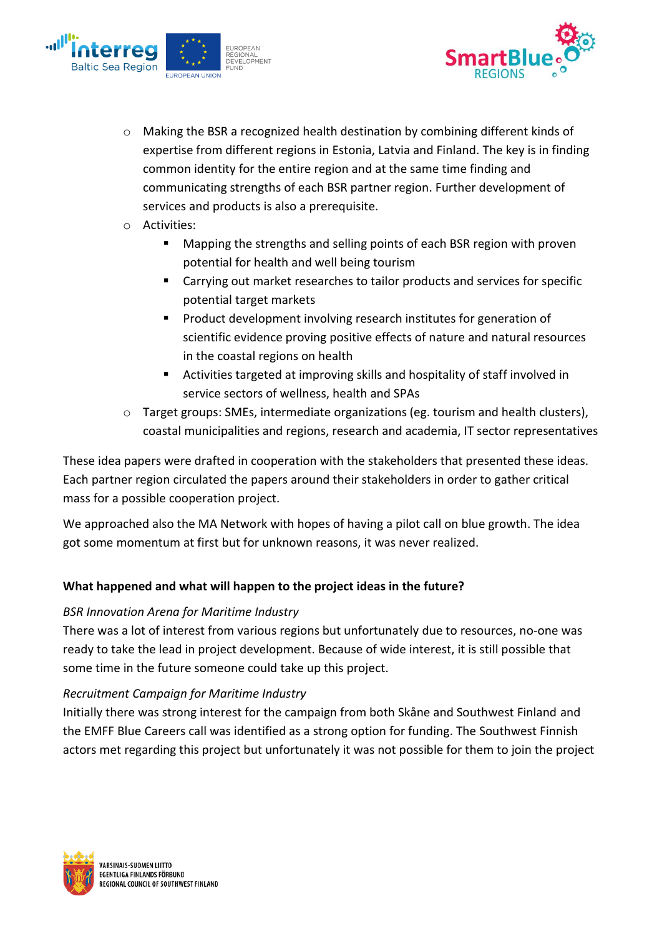



- o Making the BSR a recognized health destination by combining different kinds of expertise from different regions in Estonia, Latvia and Finland. The key is in finding common identity for the entire region and at the same time finding and communicating strengths of each BSR partner region. Further development of services and products is also a prerequisite.
- o Activities:
	- Mapping the strengths and selling points of each BSR region with proven potential for health and well being tourism
	- Carrying out market researches to tailor products and services for specific potential target markets
	- Product development involving research institutes for generation of scientific evidence proving positive effects of nature and natural resources in the coastal regions on health
	- Activities targeted at improving skills and hospitality of staff involved in service sectors of wellness, health and SPAs
- o Target groups: SMEs, intermediate organizations (eg. tourism and health clusters), coastal municipalities and regions, research and academia, IT sector representatives

These idea papers were drafted in cooperation with the stakeholders that presented these ideas. Each partner region circulated the papers around their stakeholders in order to gather critical mass for a possible cooperation project.

We approached also the MA Network with hopes of having a pilot call on blue growth. The idea got some momentum at first but for unknown reasons, it was never realized.

# **What happened and what will happen to the project ideas in the future?**

#### *BSR Innovation Arena for Maritime Industry*

There was a lot of interest from various regions but unfortunately due to resources, no-one was ready to take the lead in project development. Because of wide interest, it is still possible that some time in the future someone could take up this project.

#### *Recruitment Campaign for Maritime Industry*

Initially there was strong interest for the campaign from both Skåne and Southwest Finland and the EMFF Blue Careers call was identified as a strong option for funding. The Southwest Finnish actors met regarding this project but unfortunately it was not possible for them to join the project

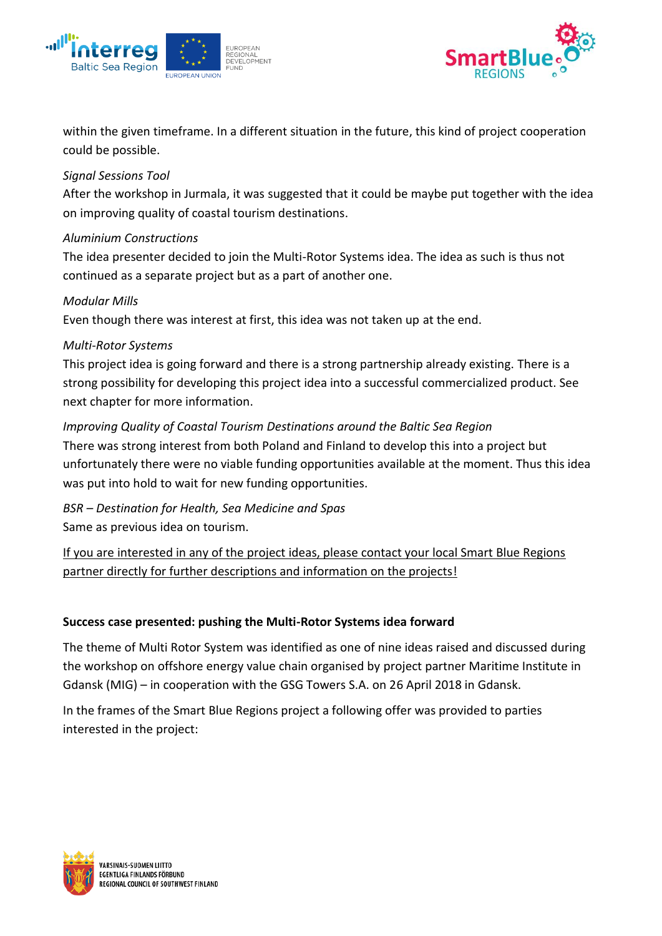



within the given timeframe. In a different situation in the future, this kind of project cooperation could be possible.

### *Signal Sessions Tool*

After the workshop in Jurmala, it was suggested that it could be maybe put together with the idea on improving quality of coastal tourism destinations.

### *Aluminium Constructions*

The idea presenter decided to join the Multi-Rotor Systems idea. The idea as such is thus not continued as a separate project but as a part of another one.

#### *Modular Mills*

Even though there was interest at first, this idea was not taken up at the end.

# *Multi-Rotor Systems*

This project idea is going forward and there is a strong partnership already existing. There is a strong possibility for developing this project idea into a successful commercialized product. See next chapter for more information.

# *Improving Quality of Coastal Tourism Destinations around the Baltic Sea Region*

There was strong interest from both Poland and Finland to develop this into a project but unfortunately there were no viable funding opportunities available at the moment. Thus this idea was put into hold to wait for new funding opportunities.

*BSR – Destination for Health, Sea Medicine and Spas* Same as previous idea on tourism.

If you are interested in any of the project ideas, please contact your local Smart Blue Regions partner directly for further descriptions and information on the projects!

# **Success case presented: pushing the Multi-Rotor Systems idea forward**

The theme of Multi Rotor System was identified as one of nine ideas raised and discussed during the workshop on offshore energy value chain organised by project partner Maritime Institute in Gdansk (MIG) – in cooperation with the GSG Towers S.A. on 26 April 2018 in Gdansk.

In the frames of the Smart Blue Regions project a following offer was provided to parties interested in the project:

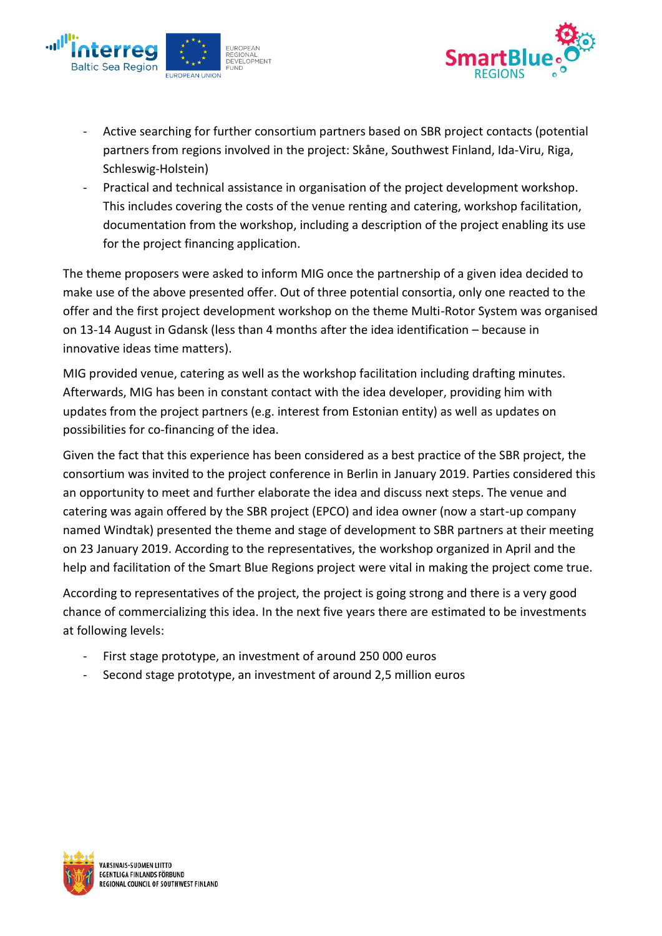



- Active searching for further consortium partners based on SBR project contacts (potential partners from regions involved in the project: Skåne, Southwest Finland, Ida-Viru, Riga, Schleswig-Holstein)
- Practical and technical assistance in organisation of the project development workshop. This includes covering the costs of the venue renting and catering, workshop facilitation, documentation from the workshop, including a description of the project enabling its use for the project financing application.

The theme proposers were asked to inform MIG once the partnership of a given idea decided to make use of the above presented offer. Out of three potential consortia, only one reacted to the offer and the first project development workshop on the theme Multi-Rotor System was organised on 13-14 August in Gdansk (less than 4 months after the idea identification – because in innovative ideas time matters).

MIG provided venue, catering as well as the workshop facilitation including drafting minutes. Afterwards, MIG has been in constant contact with the idea developer, providing him with updates from the project partners (e.g. interest from Estonian entity) as well as updates on possibilities for co-financing of the idea.

Given the fact that this experience has been considered as a best practice of the SBR project, the consortium was invited to the project conference in Berlin in January 2019. Parties considered this an opportunity to meet and further elaborate the idea and discuss next steps. The venue and catering was again offered by the SBR project (EPCO) and idea owner (now a start-up company named Windtak) presented the theme and stage of development to SBR partners at their meeting on 23 January 2019. According to the representatives, the workshop organized in April and the help and facilitation of the Smart Blue Regions project were vital in making the project come true.

According to representatives of the project, the project is going strong and there is a very good chance of commercializing this idea. In the next five years there are estimated to be investments at following levels:

- First stage prototype, an investment of around 250 000 euros
- Second stage prototype, an investment of around 2,5 million euros

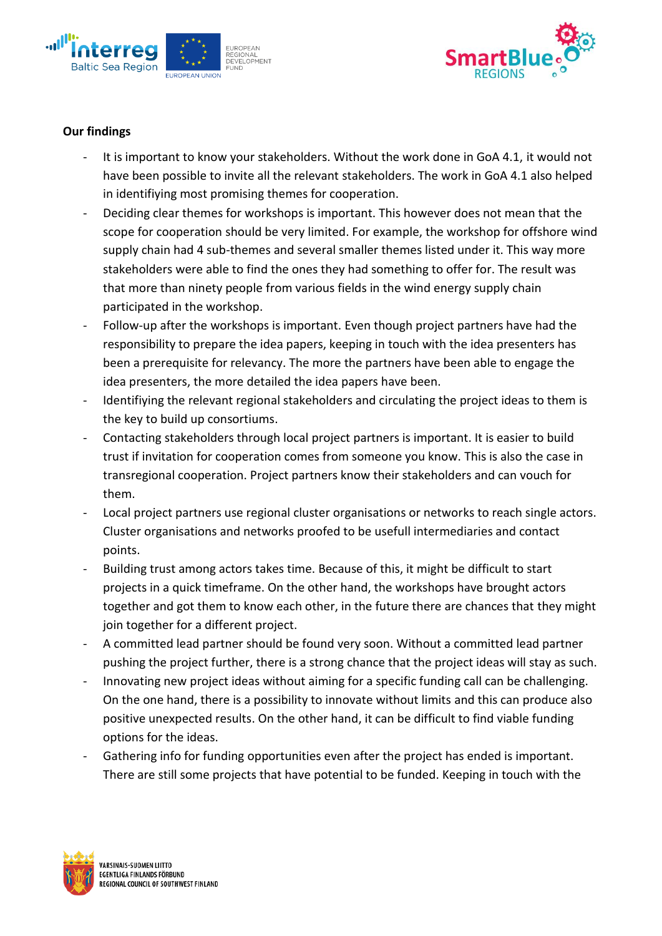



### **Our findings**

- It is important to know your stakeholders. Without the work done in GoA 4.1, it would not have been possible to invite all the relevant stakeholders. The work in GoA 4.1 also helped in identifiying most promising themes for cooperation.
- Deciding clear themes for workshops is important. This however does not mean that the scope for cooperation should be very limited. For example, the workshop for offshore wind supply chain had 4 sub-themes and several smaller themes listed under it. This way more stakeholders were able to find the ones they had something to offer for. The result was that more than ninety people from various fields in the wind energy supply chain participated in the workshop.
- Follow-up after the workshops is important. Even though project partners have had the responsibility to prepare the idea papers, keeping in touch with the idea presenters has been a prerequisite for relevancy. The more the partners have been able to engage the idea presenters, the more detailed the idea papers have been.
- Identifiying the relevant regional stakeholders and circulating the project ideas to them is the key to build up consortiums.
- Contacting stakeholders through local project partners is important. It is easier to build trust if invitation for cooperation comes from someone you know. This is also the case in transregional cooperation. Project partners know their stakeholders and can vouch for them.
- Local project partners use regional cluster organisations or networks to reach single actors. Cluster organisations and networks proofed to be usefull intermediaries and contact points.
- Building trust among actors takes time. Because of this, it might be difficult to start projects in a quick timeframe. On the other hand, the workshops have brought actors together and got them to know each other, in the future there are chances that they might join together for a different project.
- A committed lead partner should be found very soon. Without a committed lead partner pushing the project further, there is a strong chance that the project ideas will stay as such.
- Innovating new project ideas without aiming for a specific funding call can be challenging. On the one hand, there is a possibility to innovate without limits and this can produce also positive unexpected results. On the other hand, it can be difficult to find viable funding options for the ideas.
- Gathering info for funding opportunities even after the project has ended is important. There are still some projects that have potential to be funded. Keeping in touch with the